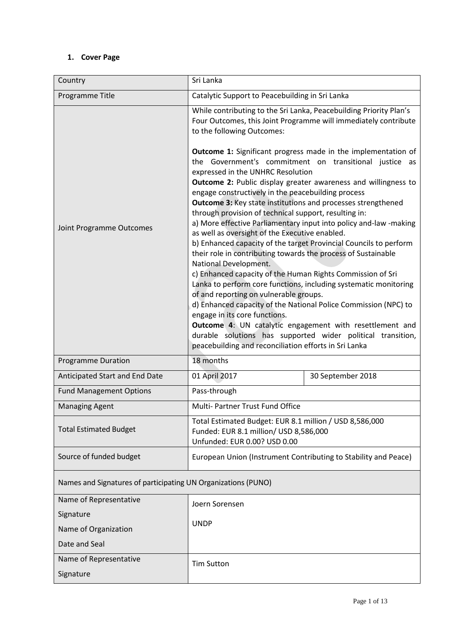# **1. Cover Page**

| Country                                                       | Sri Lanka                                                                                                                                                                                                                                                                                                                                                                                                                                                                                                                                                                                                                                                                                                                                                                                                                                                                                                                                                                                                                                                            |                   |  |
|---------------------------------------------------------------|----------------------------------------------------------------------------------------------------------------------------------------------------------------------------------------------------------------------------------------------------------------------------------------------------------------------------------------------------------------------------------------------------------------------------------------------------------------------------------------------------------------------------------------------------------------------------------------------------------------------------------------------------------------------------------------------------------------------------------------------------------------------------------------------------------------------------------------------------------------------------------------------------------------------------------------------------------------------------------------------------------------------------------------------------------------------|-------------------|--|
| Programme Title                                               | Catalytic Support to Peacebuilding in Sri Lanka                                                                                                                                                                                                                                                                                                                                                                                                                                                                                                                                                                                                                                                                                                                                                                                                                                                                                                                                                                                                                      |                   |  |
| Joint Programme Outcomes                                      | While contributing to the Sri Lanka, Peacebuilding Priority Plan's<br>Four Outcomes, this Joint Programme will immediately contribute<br>to the following Outcomes:<br><b>Outcome 1:</b> Significant progress made in the implementation of<br>the Government's commitment on transitional justice as<br>expressed in the UNHRC Resolution<br>Outcome 2: Public display greater awareness and willingness to<br>engage constructively in the peacebuilding process<br><b>Outcome 3: Key state institutions and processes strengthened</b><br>through provision of technical support, resulting in:<br>a) More effective Parliamentary input into policy and-law -making<br>as well as oversight of the Executive enabled.<br>b) Enhanced capacity of the target Provincial Councils to perform<br>their role in contributing towards the process of Sustainable<br>National Development.<br>c) Enhanced capacity of the Human Rights Commission of Sri<br>Lanka to perform core functions, including systematic monitoring<br>of and reporting on vulnerable groups. |                   |  |
|                                                               | d) Enhanced capacity of the National Police Commission (NPC) to<br>engage in its core functions.<br>Outcome 4: UN catalytic engagement with resettlement and<br>durable solutions has supported wider political transition,<br>peacebuilding and reconciliation efforts in Sri Lanka                                                                                                                                                                                                                                                                                                                                                                                                                                                                                                                                                                                                                                                                                                                                                                                 |                   |  |
| <b>Programme Duration</b>                                     | 18 months                                                                                                                                                                                                                                                                                                                                                                                                                                                                                                                                                                                                                                                                                                                                                                                                                                                                                                                                                                                                                                                            |                   |  |
| Anticipated Start and End Date                                | 01 April 2017                                                                                                                                                                                                                                                                                                                                                                                                                                                                                                                                                                                                                                                                                                                                                                                                                                                                                                                                                                                                                                                        | 30 September 2018 |  |
| <b>Fund Management Options</b>                                | Pass-through                                                                                                                                                                                                                                                                                                                                                                                                                                                                                                                                                                                                                                                                                                                                                                                                                                                                                                                                                                                                                                                         |                   |  |
| <b>Managing Agent</b>                                         | Multi- Partner Trust Fund Office                                                                                                                                                                                                                                                                                                                                                                                                                                                                                                                                                                                                                                                                                                                                                                                                                                                                                                                                                                                                                                     |                   |  |
| <b>Total Estimated Budget</b>                                 | Total Estimated Budget: EUR 8.1 million / USD 8,586,000<br>Funded: EUR 8.1 million/ USD 8,586,000<br>Unfunded: EUR 0.00? USD 0.00                                                                                                                                                                                                                                                                                                                                                                                                                                                                                                                                                                                                                                                                                                                                                                                                                                                                                                                                    |                   |  |
| Source of funded budget                                       | European Union (Instrument Contributing to Stability and Peace)                                                                                                                                                                                                                                                                                                                                                                                                                                                                                                                                                                                                                                                                                                                                                                                                                                                                                                                                                                                                      |                   |  |
| Names and Signatures of participating UN Organizations (PUNO) |                                                                                                                                                                                                                                                                                                                                                                                                                                                                                                                                                                                                                                                                                                                                                                                                                                                                                                                                                                                                                                                                      |                   |  |
| Name of Representative                                        | Joern Sorensen                                                                                                                                                                                                                                                                                                                                                                                                                                                                                                                                                                                                                                                                                                                                                                                                                                                                                                                                                                                                                                                       |                   |  |
| Signature                                                     | <b>UNDP</b>                                                                                                                                                                                                                                                                                                                                                                                                                                                                                                                                                                                                                                                                                                                                                                                                                                                                                                                                                                                                                                                          |                   |  |
| Name of Organization<br>Date and Seal                         |                                                                                                                                                                                                                                                                                                                                                                                                                                                                                                                                                                                                                                                                                                                                                                                                                                                                                                                                                                                                                                                                      |                   |  |
| Name of Representative<br>Signature                           | <b>Tim Sutton</b>                                                                                                                                                                                                                                                                                                                                                                                                                                                                                                                                                                                                                                                                                                                                                                                                                                                                                                                                                                                                                                                    |                   |  |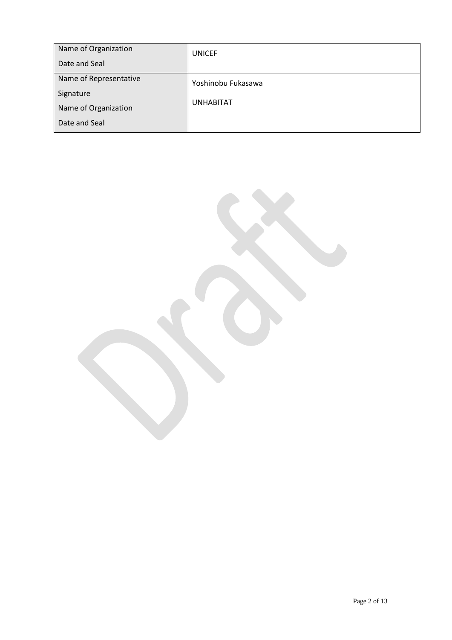| Name of Organization<br>Date and Seal | <b>UNICEF</b>      |
|---------------------------------------|--------------------|
| Name of Representative<br>Signature   | Yoshinobu Fukasawa |
| Name of Organization<br>Date and Seal | <b>UNHABITAT</b>   |

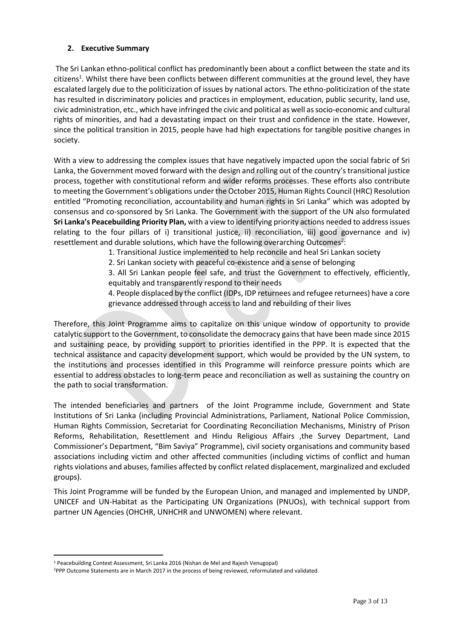### **2. Executive Summary**

The Sri Lankan ethno-political conflict has predominantly been about a conflict between the state and its citizens<sup>1</sup>. Whilst there have been conflicts between different communities at the ground level, they have escalated largely due to the politicization of issues by national actors. The ethno-politicization of the state has resulted in discriminatory policies and practices in employment, education, public security, land use, civic administration, etc., which have infringed the civic and political as well as socio-economic and cultural rights of minorities, and had a devastating impact on their trust and confidence in the state. However, since the political transition in 2015, people have had high expectations for tangible positive changes in society.

With a view to addressing the complex issues that have negatively impacted upon the social fabric of Sri Lanka, the Government moved forward with the design and rolling out of the country's transitional justice process, together with constitutional reform and wider reforms processes. These efforts also contribute to meeting the Government's obligations under the October 2015, Human Rights Council (HRC) Resolution entitled "Promoting reconciliation, accountability and human rights in Sri Lanka" which was adopted by consensus and co-sponsored by Sri Lanka. The Government with the support of the UN also formulated **Sri Lanka's Peacebuilding Priority Plan,** with a view to identifying priority actions needed to address issues relating to the four pillars of i) transitional justice, ii) reconciliation, iii) good governance and iv) resettlement and durable solutions, which have the following overarching Outcomes<sup>2</sup>:

1. Transitional Justice implemented to help reconcile and heal Sri Lankan society

2. Sri Lankan society with peaceful co-existence and a sense of belonging

3. All Sri Lankan people feel safe, and trust the Government to effectively, efficiently, equitably and transparently respond to their needs

4. People displaced by the conflict (IDPs, IDP returnees and refugee returnees) have a core grievance addressed through access to land and rebuilding of their lives

Therefore, this Joint Programme aims to capitalize on this unique window of opportunity to provide catalytic support to the Government, to consolidate the democracy gains that have been made since 2015 and sustaining peace, by providing support to priorities identified in the PPP. It is expected that the technical assistance and capacity development support, which would be provided by the UN system, to the institutions and processes identified in this Programme will reinforce pressure points which are essential to address obstacles to long-term peace and reconciliation as well as sustaining the country on the path to social transformation.

The intended beneficiaries and partners of the Joint Programme include, Government and State Institutions of Sri Lanka (including Provincial Administrations, Parliament, National Police Commission, Human Rights Commission, Secretariat for Coordinating Reconciliation Mechanisms, Ministry of Prison Reforms, Rehabilitation, Resettlement and Hindu Religious Affairs ,the Survey Department, Land Commissioner's Department, "Bim Saviya" Programme), civil society organisations and community based associations including victim and other affected communities (including victims of conflict and human rights violations and abuses, families affected by conflict related displacement, marginalized and excluded groups).

This Joint Programme will be funded by the European Union, and managed and implemented by UNDP, UNICEF and UN-Habitat as the Participating UN Organizations (PNUOs), with technical support from partner UN Agencies (OHCHR, UNHCHR and UNWOMEN) where relevant.

 $\overline{a}$ 

<sup>1</sup> Peacebuilding Context Assessment, Sri Lanka 2016 (Nishan de Mel and Rajesh Venugopal)

<sup>&</sup>lt;sup>2</sup>PPP Outcome Statements are in March 2017 in the process of being reviewed, reformulated and validated.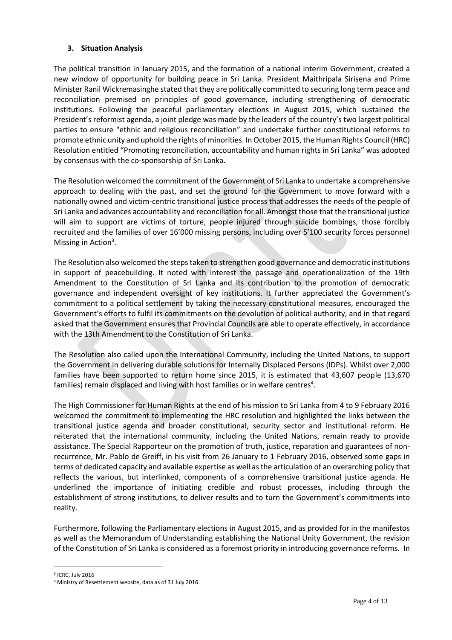### **3. Situation Analysis**

The political transition in January 2015, and the formation of a national interim Government, created a new window of opportunity for building peace in Sri Lanka. President Maithripala Sirisena and Prime Minister Ranil Wickremasinghe stated that they are politically committed to securing long term peace and reconciliation premised on principles of good governance, including strengthening of democratic institutions. Following the peaceful parliamentary elections in August 2015, which sustained the President's reformist agenda, a joint pledge was made by the leaders of the country's two largest political parties to ensure "ethnic and religious reconciliation" and undertake further constitutional reforms to promote ethnic unity and uphold the rights of minorities. In October 2015, the Human Rights Council (HRC) Resolution entitled "Promoting reconciliation, accountability and human rights in Sri Lanka" was adopted by consensus with the co-sponsorship of Sri Lanka.

The Resolution welcomed the commitment of the Government of Sri Lanka to undertake a comprehensive approach to dealing with the past, and set the ground for the Government to move forward with a nationally owned and victim-centric transitional justice process that addresses the needs of the people of Sri Lanka and advances accountability and reconciliation for all. Amongst those that the transitional justice will aim to support are victims of torture, people injured through suicide bombings, those forcibly recruited and the families of over 16'000 missing persons, including over 5'100 security forces personnel Missing in Action<sup>3</sup>.

The Resolution also welcomed the steps taken to strengthen good governance and democratic institutions in support of peacebuilding. It noted with interest the passage and operationalization of the 19th Amendment to the Constitution of Sri Lanka and its contribution to the promotion of democratic governance and independent oversight of key institutions. It further appreciated the Government's commitment to a political settlement by taking the necessary constitutional measures, encouraged the Government's efforts to fulfil its commitments on the devolution of political authority, and in that regard asked that the Government ensures that Provincial Councils are able to operate effectively, in accordance with the 13th Amendment to the Constitution of Sri Lanka.

The Resolution also called upon the International Community, including the United Nations, to support the Government in delivering durable solutions for Internally Displaced Persons (IDPs). Whilst over 2,000 families have been supported to return home since 2015, it is estimated that 43,607 people (13,670 families) remain displaced and living with host families or in welfare centres<sup>4</sup>.

The High Commissioner for Human Rights at the end of his mission to Sri Lanka from 4 to 9 February 2016 welcomed the commitment to implementing the HRC resolution and highlighted the links between the transitional justice agenda and broader constitutional, security sector and institutional reform. He reiterated that the international community, including the United Nations, remain ready to provide assistance. The Special Rapporteur on the promotion of truth, justice, reparation and guarantees of nonrecurrence, Mr. Pablo de Greiff, in his visit from 26 January to 1 February 2016, observed some gaps in terms of dedicated capacity and available expertise as well as the articulation of an overarching policy that reflects the various, but interlinked, components of a comprehensive transitional justice agenda. He underlined the importance of initiating credible and robust processes, including through the establishment of strong institutions, to deliver results and to turn the Government's commitments into reality.

Furthermore, following the Parliamentary elections in August 2015, and as provided for in the manifestos as well as the Memorandum of Understanding establishing the National Unity Government, the revision of the Constitution of Sri Lanka is considered as a foremost priority in introducing governance reforms. In

3 ICRC, July 2016

 $\overline{a}$ 

<sup>4</sup> Ministry of Resettlement website, data as of 31 July 2016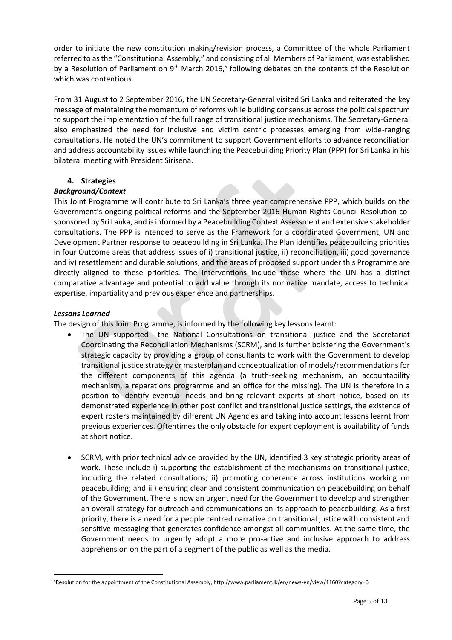order to initiate the new constitution making/revision process, a Committee of the whole Parliament referred to as the "Constitutional Assembly," and consisting of all Members of Parliament, was established by a Resolution of Parliament on  $9<sup>th</sup>$  March 2016,<sup>5</sup> following debates on the contents of the Resolution which was contentious.

From 31 August to 2 September 2016, the UN Secretary-General visited Sri Lanka and reiterated the key message of maintaining the momentum of reforms while building consensus across the political spectrum to support the implementation of the full range of transitional justice mechanisms. The Secretary-General also emphasized the need for inclusive and victim centric processes emerging from wide-ranging consultations. He noted the UN's commitment to support Government efforts to advance reconciliation and address accountability issues while launching the Peacebuilding Priority Plan (PPP) for Sri Lanka in his bilateral meeting with President Sirisena.

## **4. Strategies**

### *Background/Context*

This Joint Programme will contribute to Sri Lanka's three year comprehensive PPP, which builds on the Government's ongoing political reforms and the September 2016 Human Rights Council Resolution cosponsored by Sri Lanka, and is informed by a Peacebuilding Context Assessment and extensive stakeholder consultations. The PPP is intended to serve as the Framework for a coordinated Government, UN and Development Partner response to peacebuilding in Sri Lanka. The Plan identifies peacebuilding priorities in four Outcome areas that address issues of i) transitional justice, ii) reconciliation, iii) good governance and iv) resettlement and durable solutions, and the areas of proposed support under this Programme are directly aligned to these priorities. The interventions include those where the UN has a distinct comparative advantage and potential to add value through its normative mandate, access to technical expertise, impartiality and previous experience and partnerships.

### *Lessons Learned*

 $\overline{a}$ 

The design of this Joint Programme, is informed by the following key lessons learnt:

- The UN supported the National Consultations on transitional justice and the Secretariat Coordinating the Reconciliation Mechanisms (SCRM), and is further bolstering the Government's strategic capacity by providing a group of consultants to work with the Government to develop transitional justice strategy or masterplan and conceptualization of models/recommendations for the different components of this agenda (a truth-seeking mechanism, an accountability mechanism, a reparations programme and an office for the missing). The UN is therefore in a position to identify eventual needs and bring relevant experts at short notice, based on its demonstrated experience in other post conflict and transitional justice settings, the existence of expert rosters maintained by different UN Agencies and taking into account lessons learnt from previous experiences. Oftentimes the only obstacle for expert deployment is availability of funds at short notice.
- SCRM, with prior technical advice provided by the UN, identified 3 key strategic priority areas of work. These include i) supporting the establishment of the mechanisms on transitional justice, including the related consultations; ii) promoting coherence across institutions working on peacebuilding; and iii) ensuring clear and consistent communication on peacebuilding on behalf of the Government. There is now an urgent need for the Government to develop and strengthen an overall strategy for outreach and communications on its approach to peacebuilding. As a first priority, there is a need for a people centred narrative on transitional justice with consistent and sensitive messaging that generates confidence amongst all communities. At the same time, the Government needs to urgently adopt a more pro-active and inclusive approach to address apprehension on the part of a segment of the public as well as the media.

<sup>5</sup>Resolution for the appointment of the Constitutional Assembly, http://www.parliament.lk/en/news-en/view/1160?category=6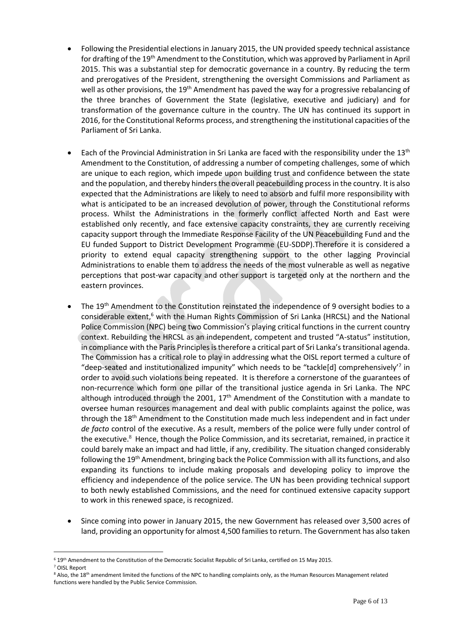- Following the Presidential elections in January 2015, the UN provided speedy technical assistance for drafting of the 19<sup>th</sup> Amendment to the Constitution, which was approved by Parliament in April 2015. This was a substantial step for democratic governance in a country. By reducing the term and prerogatives of the President, strengthening the oversight Commissions and Parliament as well as other provisions, the  $19<sup>th</sup>$  Amendment has paved the way for a progressive rebalancing of the three branches of Government the State (legislative, executive and judiciary) and for transformation of the governance culture in the country. The UN has continued its support in 2016, for the Constitutional Reforms process, and strengthening the institutional capacities of the Parliament of Sri Lanka.
- Each of the Provincial Administration in Sri Lanka are faced with the responsibility under the 13th Amendment to the Constitution, of addressing a number of competing challenges, some of which are unique to each region, which impede upon building trust and confidence between the state and the population, and thereby hinders the overall peacebuilding process in the country. It is also expected that the Administrations are likely to need to absorb and fulfil more responsibility with what is anticipated to be an increased devolution of power, through the Constitutional reforms process. Whilst the Administrations in the formerly conflict affected North and East were established only recently, and face extensive capacity constraints, they are currently receiving capacity support through the Immediate Response Facility of the UN Peacebuilding Fund and the EU funded Support to District Development Programme (EU-SDDP).Therefore it is considered a priority to extend equal capacity strengthening support to the other lagging Provincial Administrations to enable them to address the needs of the most vulnerable as well as negative perceptions that post-war capacity and other support is targeted only at the northern and the eastern provinces.
- The 19th Amendment to the Constitution reinstated the independence of 9 oversight bodies to a considerable extent,<sup>6</sup> with the Human Rights Commission of Sri Lanka (HRCSL) and the National Police Commission (NPC) being two Commission's playing critical functions in the current country context. Rebuilding the HRCSL as an independent, competent and trusted "A-status" institution, in compliance with the Paris Principles is therefore a critical part of Sri Lanka's transitional agenda. The Commission has a critical role to play in addressing what the OISL report termed a culture of "deep-seated and institutionalized impunity" which needs to be "tackle[d] comprehensively'<sup>7</sup> in order to avoid such violations being repeated. It is therefore a cornerstone of the guarantees of non-recurrence which form one pillar of the transitional justice agenda in Sri Lanka. The NPC although introduced through the 2001,  $17<sup>th</sup>$  Amendment of the Constitution with a mandate to oversee human resources management and deal with public complaints against the police, was through the  $18<sup>th</sup>$  Amendment to the Constitution made much less independent and in fact under *de facto* control of the executive. As a result, members of the police were fully under control of the executive.<sup>8</sup> Hence, though the Police Commission, and its secretariat, remained, in practice it could barely make an impact and had little, if any, credibility. The situation changed considerably following the 19<sup>th</sup> Amendment, bringing back the Police Commission with all its functions, and also expanding its functions to include making proposals and developing policy to improve the efficiency and independence of the police service. The UN has been providing technical support to both newly established Commissions, and the need for continued extensive capacity support to work in this renewed space, is recognized.
- Since coming into power in January 2015, the new Government has released over 3,500 acres of land, providing an opportunity for almost 4,500 families to return. The Government has also taken

 $\overline{a}$ 

<sup>&</sup>lt;sup>6</sup> 19<sup>th</sup> Amendment to the Constitution of the Democratic Socialist Republic of Sri Lanka, certified on 15 May 2015.

<sup>7</sup> OISL Report

<sup>&</sup>lt;sup>8</sup> Also, the 18<sup>th</sup> amendment limited the functions of the NPC to handling complaints only, as the Human Resources Management related functions were handled by the Public Service Commission.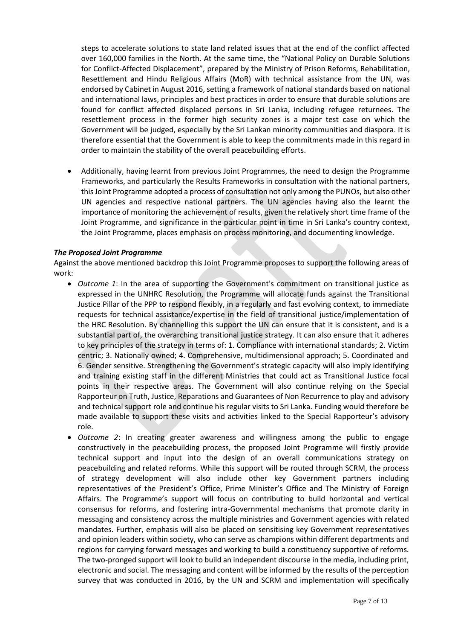steps to accelerate solutions to state land related issues that at the end of the conflict affected over 160,000 families in the North. At the same time, the "National Policy on Durable Solutions for Conflict-Affected Displacement", prepared by the Ministry of Prison Reforms, Rehabilitation, Resettlement and Hindu Religious Affairs (MoR) with technical assistance from the UN, was endorsed by Cabinet in August 2016, setting a framework of national standards based on national and international laws, principles and best practices in order to ensure that durable solutions are found for conflict affected displaced persons in Sri Lanka, including refugee returnees. The resettlement process in the former high security zones is a major test case on which the Government will be judged, especially by the Sri Lankan minority communities and diaspora. It is therefore essential that the Government is able to keep the commitments made in this regard in order to maintain the stability of the overall peacebuilding efforts.

 Additionally, having learnt from previous Joint Programmes, the need to design the Programme Frameworks, and particularly the Results Frameworks in consultation with the national partners, this Joint Programme adopted a process of consultation not only among the PUNOs, but also other UN agencies and respective national partners. The UN agencies having also the learnt the importance of monitoring the achievement of results, given the relatively short time frame of the Joint Programme, and significance in the particular point in time in Sri Lanka's country context, the Joint Programme, places emphasis on process monitoring, and documenting knowledge.

#### *The Proposed Joint Programme*

Against the above mentioned backdrop this Joint Programme proposes to support the following areas of work:

- *Outcome 1*: In the area of supporting the Government's commitment on transitional justice as expressed in the UNHRC Resolution, the Programme will allocate funds against the Transitional Justice Pillar of the PPP to respond flexibly, in a regularly and fast evolving context, to immediate requests for technical assistance/expertise in the field of transitional justice/implementation of the HRC Resolution. By channelling this support the UN can ensure that it is consistent, and is a substantial part of, the overarching transitional justice strategy. It can also ensure that it adheres to key principles of the strategy in terms of: 1. Compliance with international standards; 2. Victim centric; 3. Nationally owned; 4. Comprehensive, multidimensional approach; 5. Coordinated and 6. Gender sensitive. Strengthening the Government's strategic capacity will also imply identifying and training existing staff in the different Ministries that could act as Transitional Justice focal points in their respective areas. The Government will also continue relying on the Special Rapporteur on Truth, Justice, Reparations and Guarantees of Non Recurrence to play and advisory and technical support role and continue his regular visits to Sri Lanka. Funding would therefore be made available to support these visits and activities linked to the Special Rapporteur's advisory role.
- *Outcome 2*: In creating greater awareness and willingness among the public to engage constructively in the peacebuilding process, the proposed Joint Programme will firstly provide technical support and input into the design of an overall communications strategy on peacebuilding and related reforms. While this support will be routed through SCRM, the process of strategy development will also include other key Government partners including representatives of the President's Office, Prime Minister's Office and The Ministry of Foreign Affairs. The Programme's support will focus on contributing to build horizontal and vertical consensus for reforms, and fostering intra-Governmental mechanisms that promote clarity in messaging and consistency across the multiple ministries and Government agencies with related mandates. Further, emphasis will also be placed on sensitising key Government representatives and opinion leaders within society, who can serve as champions within different departments and regions for carrying forward messages and working to build a constituency supportive of reforms. The two-pronged support will look to build an independent discourse in the media, including print, electronic and social. The messaging and content will be informed by the results of the perception survey that was conducted in 2016, by the UN and SCRM and implementation will specifically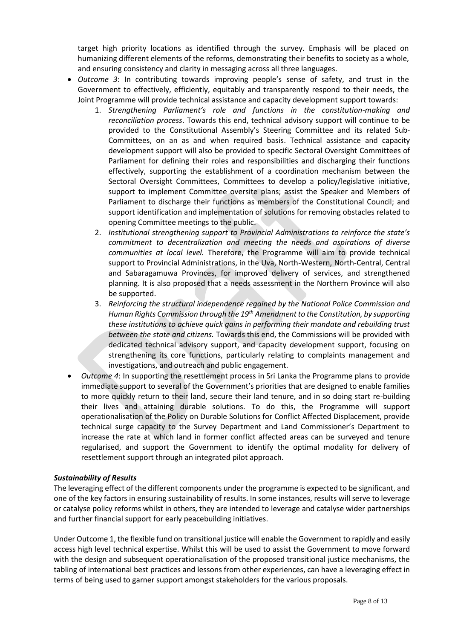target high priority locations as identified through the survey. Emphasis will be placed on humanizing different elements of the reforms, demonstrating their benefits to society as a whole, and ensuring consistency and clarity in messaging across all three languages.

- *Outcome 3*: In contributing towards improving people's sense of safety, and trust in the Government to effectively, efficiently, equitably and transparently respond to their needs, the Joint Programme will provide technical assistance and capacity development support towards:
	- 1. *Strengthening Parliament's role and functions in the constitution-making and reconciliation process*. Towards this end, technical advisory support will continue to be provided to the Constitutional Assembly's Steering Committee and its related Sub-Committees, on an as and when required basis. Technical assistance and capacity development support will also be provided to specific Sectoral Oversight Committees of Parliament for defining their roles and responsibilities and discharging their functions effectively, supporting the establishment of a coordination mechanism between the Sectoral Oversight Committees, Committees to develop a policy/legislative initiative, support to implement Committee oversite plans; assist the Speaker and Members of Parliament to discharge their functions as members of the Constitutional Council; and support identification and implementation of solutions for removing obstacles related to opening Committee meetings to the public.
	- 2. *Institutional strengthening support to Provincial Administrations to reinforce the state's commitment to decentralization and meeting the needs and aspirations of diverse communities at local level.* Therefore, the Programme will aim to provide technical support to Provincial Administrations, in the Uva, North-Western, North-Central, Central and Sabaragamuwa Provinces, for improved delivery of services, and strengthened planning. It is also proposed that a needs assessment in the Northern Province will also be supported.
	- 3. *Reinforcing the structural independence regained by the National Police Commission and Human Rights Commission through the 19th Amendment to the Constitution, by supporting these institutions to achieve quick gains in performing their mandate and rebuilding trust between the state and citizens.* Towards this end, the Commissions will be provided with dedicated technical advisory support, and capacity development support, focusing on strengthening its core functions, particularly relating to complaints management and investigations, and outreach and public engagement.
- *Outcome 4*: In supporting the resettlement process in Sri Lanka the Programme plans to provide immediate support to several of the Government's priorities that are designed to enable families to more quickly return to their land, secure their land tenure, and in so doing start re-building their lives and attaining durable solutions. To do this, the Programme will support operationalisation of the Policy on Durable Solutions for Conflict Affected Displacement, provide technical surge capacity to the Survey Department and Land Commissioner's Department to increase the rate at which land in former conflict affected areas can be surveyed and tenure regularised, and support the Government to identify the optimal modality for delivery of resettlement support through an integrated pilot approach.

#### *Sustainability of Results*

The leveraging effect of the different components under the programme is expected to be significant, and one of the key factors in ensuring sustainability of results. In some instances, results will serve to leverage or catalyse policy reforms whilst in others, they are intended to leverage and catalyse wider partnerships and further financial support for early peacebuilding initiatives.

Under Outcome 1, the flexible fund on transitional justice will enable the Government to rapidly and easily access high level technical expertise. Whilst this will be used to assist the Government to move forward with the design and subsequent operationalisation of the proposed transitional justice mechanisms, the tabling of international best practices and lessons from other experiences, can have a leveraging effect in terms of being used to garner support amongst stakeholders for the various proposals.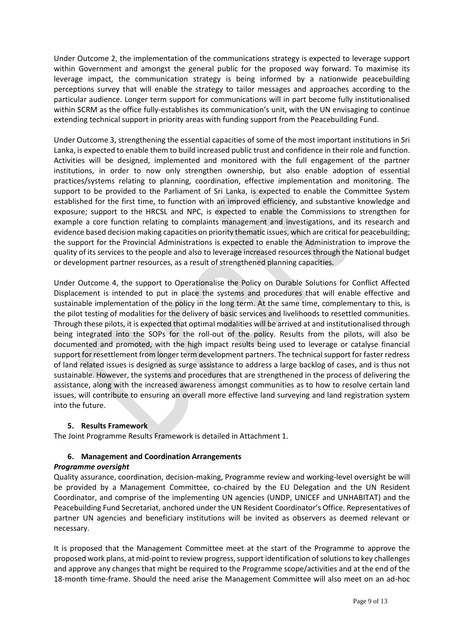Under Outcome 2, the implementation of the communications strategy is expected to leverage support within Government and amongst the general public for the proposed way forward. To maximise its leverage impact, the communication strategy is being informed by a nationwide peacebuilding perceptions survey that will enable the strategy to tailor messages and approaches according to the particular audience. Longer term support for communications will in part become fully institutionalised within SCRM as the office fully-establishes its communication's unit, with the UN envisaging to continue extending technical support in priority areas with funding support from the Peacebuilding Fund.

Under Outcome 3, strengthening the essential capacities of some of the most important institutions in Sri Lanka, is expected to enable them to build increased public trust and confidence in their role and function. Activities will be designed, implemented and monitored with the full engagement of the partner institutions, in order to now only strengthen ownership, but also enable adoption of essential practices/systems relating to planning, coordination, effective implementation and monitoring. The support to be provided to the Parliament of Sri Lanka, is expected to enable the Committee System established for the first time, to function with an improved efficiency, and substantive knowledge and exposure; support to the HRCSL and NPC, is expected to enable the Commissions to strengthen for example a core function relating to complaints management and investigations, and its research and evidence based decision making capacities on priority thematic issues, which are critical for peacebuilding; the support for the Provincial Administrations is expected to enable the Administration to improve the quality of its services to the people and also to leverage increased resources through the National budget or development partner resources, as a result of strengthened planning capacities.

Under Outcome 4, the support to Operationalise the Policy on Durable Solutions for Conflict Affected Displacement is intended to put in place the systems and procedures that will enable effective and sustainable implementation of the policy in the long term. At the same time, complementary to this, is the pilot testing of modalities for the delivery of basic services and livelihoods to resettled communities. Through these pilots, it is expected that optimal modalities will be arrived at and institutionalised through being integrated into the SOPs for the roll-out of the policy. Results from the pilots, will also be documented and promoted, with the high impact results being used to leverage or catalyse financial support for resettlement from longer term development partners. The technical support for faster redress of land related issues is designed as surge assistance to address a large backlog of cases, and is thus not sustainable. However, the systems and procedures that are strengthened in the process of delivering the assistance, along with the increased awareness amongst communities as to how to resolve certain land issues, will contribute to ensuring an overall more effective land surveying and land registration system into the future.

#### **5. Results Framework**

The Joint Programme Results Framework is detailed in Attachment 1.

#### **6. Management and Coordination Arrangements**

#### *Programme oversight*

Quality assurance, coordination, decision-making, Programme review and working-level oversight be will be provided by a Management Committee, co-chaired by the EU Delegation and the UN Resident Coordinator, and comprise of the implementing UN agencies (UNDP, UNICEF and UNHABITAT) and the Peacebuilding Fund Secretariat, anchored under the UN Resident Coordinator's Office. Representatives of partner UN agencies and beneficiary institutions will be invited as observers as deemed relevant or necessary.

It is proposed that the Management Committee meet at the start of the Programme to approve the proposed work plans, at mid-point to review progress, support identification of solutions to key challenges and approve any changes that might be required to the Programme scope/activities and at the end of the 18-month time-frame. Should the need arise the Management Committee will also meet on an ad-hoc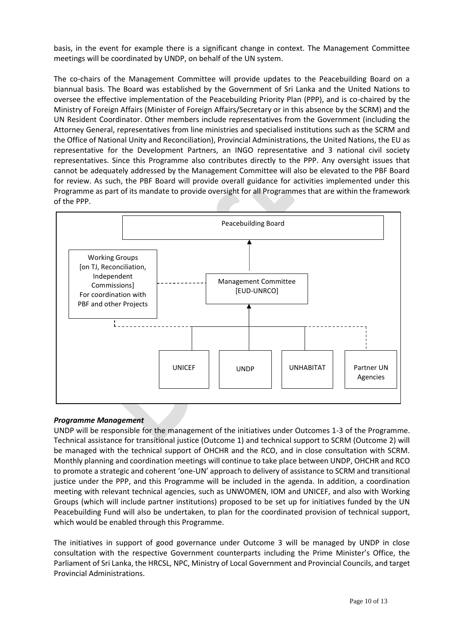basis, in the event for example there is a significant change in context. The Management Committee meetings will be coordinated by UNDP, on behalf of the UN system.

The co-chairs of the Management Committee will provide updates to the Peacebuilding Board on a biannual basis. The Board was established by the Government of Sri Lanka and the United Nations to oversee the effective implementation of the Peacebuilding Priority Plan (PPP), and is co-chaired by the Ministry of Foreign Affairs (Minister of Foreign Affairs/Secretary or in this absence by the SCRM) and the UN Resident Coordinator. Other members include representatives from the Government (including the Attorney General, representatives from line ministries and specialised institutions such as the SCRM and the Office of National Unity and Reconciliation), Provincial Administrations, the United Nations, the EU as representative for the Development Partners, an INGO representative and 3 national civil society representatives. Since this Programme also contributes directly to the PPP. Any oversight issues that cannot be adequately addressed by the Management Committee will also be elevated to the PBF Board for review. As such, the PBF Board will provide overall guidance for activities implemented under this Programme as part of its mandate to provide oversight for all Programmes that are within the framework of the PPP.



#### *Programme Management*

UNDP will be responsible for the management of the initiatives under Outcomes 1-3 of the Programme. Technical assistance for transitional justice (Outcome 1) and technical support to SCRM (Outcome 2) will be managed with the technical support of OHCHR and the RCO, and in close consultation with SCRM. Monthly planning and coordination meetings will continue to take place between UNDP, OHCHR and RCO to promote a strategic and coherent 'one-UN' approach to delivery of assistance to SCRM and transitional justice under the PPP, and this Programme will be included in the agenda. In addition, a coordination meeting with relevant technical agencies, such as UNWOMEN, IOM and UNICEF, and also with Working Groups (which will include partner institutions) proposed to be set up for initiatives funded by the UN Peacebuilding Fund will also be undertaken, to plan for the coordinated provision of technical support, which would be enabled through this Programme.

The initiatives in support of good governance under Outcome 3 will be managed by UNDP in close consultation with the respective Government counterparts including the Prime Minister's Office, the Parliament of Sri Lanka, the HRCSL, NPC, Ministry of Local Government and Provincial Councils, and target Provincial Administrations.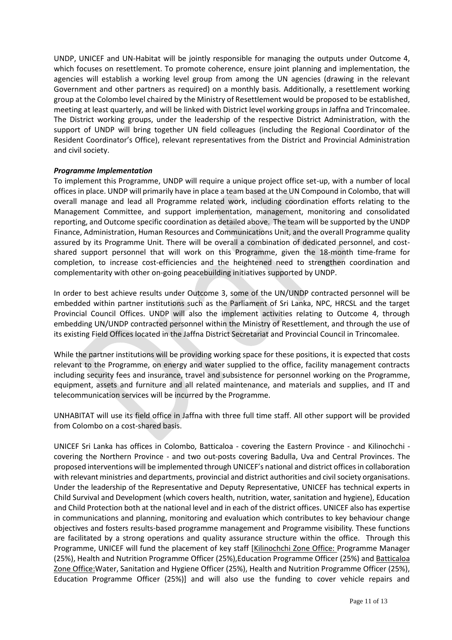UNDP, UNICEF and UN-Habitat will be jointly responsible for managing the outputs under Outcome 4, which focuses on resettlement. To promote coherence, ensure joint planning and implementation, the agencies will establish a working level group from among the UN agencies (drawing in the relevant Government and other partners as required) on a monthly basis. Additionally, a resettlement working group at the Colombo level chaired by the Ministry of Resettlement would be proposed to be established, meeting at least quarterly, and will be linked with District level working groups in Jaffna and Trincomalee. The District working groups, under the leadership of the respective District Administration, with the support of UNDP will bring together UN field colleagues (including the Regional Coordinator of the Resident Coordinator's Office), relevant representatives from the District and Provincial Administration and civil society.

#### *Programme Implementation*

To implement this Programme, UNDP will require a unique project office set-up, with a number of local offices in place. UNDP will primarily have in place a team based at the UN Compound in Colombo, that will overall manage and lead all Programme related work, including coordination efforts relating to the Management Committee, and support implementation, management, monitoring and consolidated reporting, and Outcome specific coordination as detailed above. The team will be supported by the UNDP Finance, Administration, Human Resources and Communications Unit, and the overall Programme quality assured by its Programme Unit. There will be overall a combination of dedicated personnel, and costshared support personnel that will work on this Programme, given the 18-month time-frame for completion, to increase cost-efficiencies and the heightened need to strengthen coordination and complementarity with other on-going peacebuilding initiatives supported by UNDP.

In order to best achieve results under Outcome 3, some of the UN/UNDP contracted personnel will be embedded within partner institutions such as the Parliament of Sri Lanka, NPC, HRCSL and the target Provincial Council Offices. UNDP will also the implement activities relating to Outcome 4, through embedding UN/UNDP contracted personnel within the Ministry of Resettlement, and through the use of its existing Field Offices located in the Jaffna District Secretariat and Provincial Council in Trincomalee.

While the partner institutions will be providing working space for these positions, it is expected that costs relevant to the Programme, on energy and water supplied to the office, facility management contracts including security fees and insurance, travel and subsistence for personnel working on the Programme, equipment, assets and furniture and all related maintenance, and materials and supplies, and IT and telecommunication services will be incurred by the Programme.

UNHABITAT will use its field office in Jaffna with three full time staff. All other support will be provided from Colombo on a cost-shared basis.

UNICEF Sri Lanka has offices in Colombo, Batticaloa - covering the Eastern Province - and Kilinochchi covering the Northern Province - and two out-posts covering Badulla, Uva and Central Provinces. The proposed interventions will be implemented through UNICEF's national and district offices in collaboration with relevant ministries and departments, provincial and district authorities and civil society organisations. Under the leadership of the Representative and Deputy Representative, UNICEF has technical experts in Child Survival and Development (which covers health, nutrition, water, sanitation and hygiene), Education and Child Protection both at the national level and in each of the district offices. UNICEF also has expertise in communications and planning, monitoring and evaluation which contributes to key behaviour change objectives and fosters results-based programme management and Programme visibility. These functions are facilitated by a strong operations and quality assurance structure within the office. Through this Programme, UNICEF will fund the placement of key staff [Kilinochchi Zone Office: Programme Manager (25%), Health and Nutrition Programme Officer (25%),Education Programme Officer (25%) and Batticaloa Zone Office:Water, Sanitation and Hygiene Officer (25%), Health and Nutrition Programme Officer (25%), Education Programme Officer (25%)] and will also use the funding to cover vehicle repairs and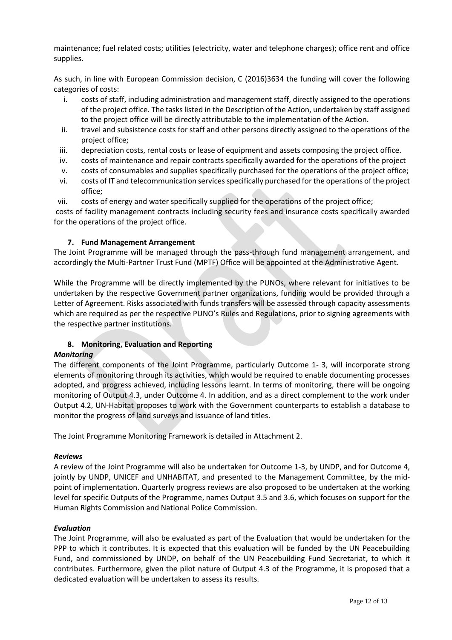maintenance; fuel related costs; utilities (electricity, water and telephone charges); office rent and office supplies.

As such, in line with European Commission decision, C (2016)3634 the funding will cover the following categories of costs:

- i. costs of staff, including administration and management staff, directly assigned to the operations of the project office. The tasks listed in the Description of the Action, undertaken by staff assigned to the project office will be directly attributable to the implementation of the Action.
- ii. travel and subsistence costs for staff and other persons directly assigned to the operations of the project office;
- iii. depreciation costs, rental costs or lease of equipment and assets composing the project office.
- iv. costs of maintenance and repair contracts specifically awarded for the operations of the project
- v. costs of consumables and supplies specifically purchased for the operations of the project office;
- vi. costs of IT and telecommunication services specifically purchased for the operations of the project office;
- vii. costs of energy and water specifically supplied for the operations of the project office;

costs of facility management contracts including security fees and insurance costs specifically awarded for the operations of the project office.

#### **7. Fund Management Arrangement**

The Joint Programme will be managed through the pass-through fund management arrangement, and accordingly the Multi-Partner Trust Fund (MPTF) Office will be appointed at the Administrative Agent.

While the Programme will be directly implemented by the PUNOs, where relevant for initiatives to be undertaken by the respective Government partner organizations, funding would be provided through a Letter of Agreement. Risks associated with funds transfers will be assessed through capacity assessments which are required as per the respective PUNO's Rules and Regulations, prior to signing agreements with the respective partner institutions.

#### **8. Monitoring, Evaluation and Reporting**

#### *Monitoring*

The different components of the Joint Programme, particularly Outcome 1- 3, will incorporate strong elements of monitoring through its activities, which would be required to enable documenting processes adopted, and progress achieved, including lessons learnt. In terms of monitoring, there will be ongoing monitoring of Output 4.3, under Outcome 4. In addition, and as a direct complement to the work under Output 4.2, UN-Habitat proposes to work with the Government counterparts to establish a database to monitor the progress of land surveys and issuance of land titles.

The Joint Programme Monitoring Framework is detailed in Attachment 2.

#### *Reviews*

A review of the Joint Programme will also be undertaken for Outcome 1-3, by UNDP, and for Outcome 4, jointly by UNDP, UNICEF and UNHABITAT, and presented to the Management Committee, by the midpoint of implementation. Quarterly progress reviews are also proposed to be undertaken at the working level for specific Outputs of the Programme, names Output 3.5 and 3.6, which focuses on support for the Human Rights Commission and National Police Commission.

#### *Evaluation*

The Joint Programme, will also be evaluated as part of the Evaluation that would be undertaken for the PPP to which it contributes. It is expected that this evaluation will be funded by the UN Peacebuilding Fund, and commissioned by UNDP, on behalf of the UN Peacebuilding Fund Secretariat, to which it contributes. Furthermore, given the pilot nature of Output 4.3 of the Programme, it is proposed that a dedicated evaluation will be undertaken to assess its results.